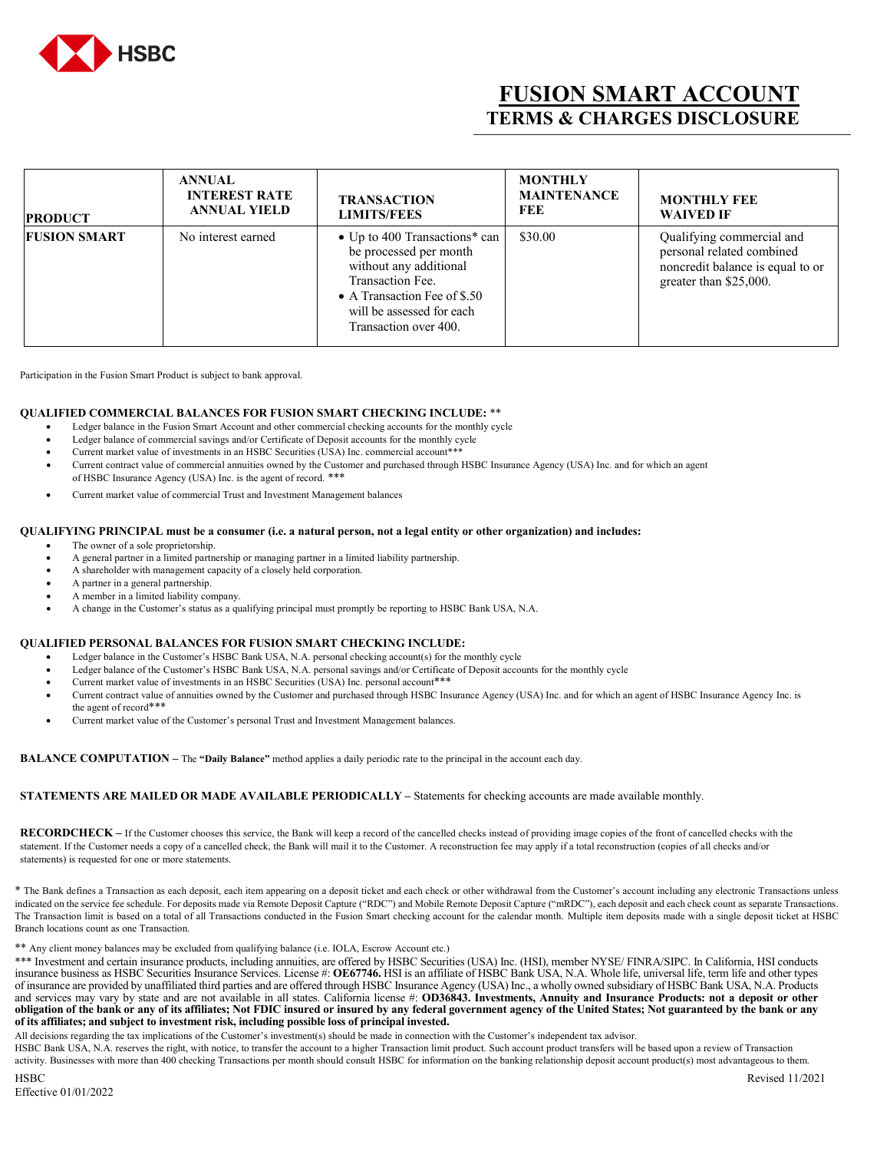

# **FUSION SMART ACCOUNT TERMS & CHARGES DISCLOSURE**

| <b>PRODUCT</b>      | <b>ANNUAL</b><br><b>INTEREST RATE</b><br><b>ANNUAL YIELD</b> | <b>TRANSACTION</b><br><b>LIMITS/FEES</b>                                                                                                                                                    | <b>MONTHLY</b><br><b>MAINTENANCE</b><br>FEE | <b>MONTHLY FEE</b><br><b>WAIVED IF</b>                                                                               |
|---------------------|--------------------------------------------------------------|---------------------------------------------------------------------------------------------------------------------------------------------------------------------------------------------|---------------------------------------------|----------------------------------------------------------------------------------------------------------------------|
| <b>FUSION SMART</b> | No interest earned                                           | • Up to 400 Transactions* can<br>be processed per month<br>without any additional<br>Transaction Fee.<br>• A Transaction Fee of \$.50<br>will be assessed for each<br>Transaction over 400. | \$30.00                                     | Qualifying commercial and<br>personal related combined<br>noncredit balance is equal to or<br>greater than \$25,000. |

Participation in the Fusion Smart Product is subject to bank approval.

### **QUALIFIED COMMERCIAL BALANCES FOR FUSION SMART CHECKING INCLUDE:** \*\*

- Ledger balance in the Fusion Smart Account and other commercial checking accounts for the monthly cycle
- Ledger balance of commercial savings and/or Certificate of Deposit accounts for the monthly cycle
- Current market value of investments in an HSBC Securities (USA) Inc. commercial account\*\*\*
- Current contract value of commercial annuities owned by the Customer and purchased through HSBC Insurance Agency (USA) Inc. and for which an agent of HSBC Insurance Agency (USA) Inc. is the agent of record. \*\*\*
- Current market value of commercial Trust and Investment Management balances

#### **QUALIFYING PRINCIPAL must be a consumer (i.e. a natural person, not a legal entity or other organization) and includes:**

- The owner of a sole proprietorship.
- A general partner in a limited partnership or managing partner in a limited liability partnership.
- A shareholder with management capacity of a closely held corporation.
- A partner in a general partnership.
- A member in a limited liability company.
- A change in the Customer's status as a qualifying principal must promptly be reporting to HSBC Bank USA, N.A.

## **QUALIFIED PERSONAL BALANCES FOR FUSION SMART CHECKING INCLUDE:**

- Ledger balance in the Customer's HSBC Bank USA, N.A. personal checking account(s) for the monthly cycle
- Ledger balance of the Customer's HSBC Bank USA, N.A. personal savings and/or Certificate of Deposit accounts for the monthly cycle
- Current market value of investments in an HSBC Securities (USA) Inc. personal account\*\*\*
- Current contract value of annuities owned by the Customer and purchased through HSBC Insurance Agency (USA) Inc. and for which an agent of HSBC Insurance Agency Inc. is the agent of record\*\*\*
- Current market value of the Customer's personal Trust and Investment Management balances.

**BALANCE COMPUTATION –** The **"Daily Balance"** method applies a daily periodic rate to the principal in the account each day.

# **STATEMENTS ARE MAILED OR MADE AVAILABLE PERIODICALLY –** Statements for checking accounts are made available monthly.

**RECORDCHECK –** If the Customer chooses this service, the Bank will keep a record of the cancelled checks instead of providing image copies of the front of cancelled checks with the statement. If the Customer needs a copy of a cancelled check, the Bank will mail it to the Customer. A reconstruction fee may apply if a total reconstruction (copies of all checks and/or statements) is requested for one or more statements.

\* The Bank defines a Transaction as each deposit, each item appearing on a deposit ticket and each check or other withdrawal from the Customer's account including any electronic Transactions unless indicated on the service fee schedule. For deposits made via Remote Deposit Capture ("RDC") and Mobile Remote Deposit Capture ("mRDC"), each deposit and each check count as separate Transactions. The Transaction limit is based on a total of all Transactions conducted in the Fusion Smart checking account for the calendar month. Multiple item deposits made with a single deposit ticket at HSBC Branch locations count as one Transaction.

\*\* Any client money balances may be excluded from qualifying balance (i.e. IOLA, Escrow Account etc.)

\*\*\* Investment and certain insurance products, including annuities, are offered by HSBC Securities (USA) Inc. (HSI), member NYSE/ FINRA/SIPC. In California, HSI conducts insurance business as HSBC Securities Insurance Services. License #: **OE67746.** HSI is an affiliate of HSBC Bank USA, N.A. Whole life, universal life, term life and other types of insurance are provided by unaffiliated third parties and are offered through HSBC Insurance Agency (USA) Inc., a wholly owned subsidiary of HSBC Bank USA, N.A. Products and services may vary by state and are not available in all states. California license #: **OD36843.** Investments, Annuity and Insurance Products: not a deposit or other **obligation of the bank or any of its affiliates; Not FDIC insured or insured by any federal government agency of the United States; Not guaranteed by the bank or any of its affiliates; and subject to investment risk, including possible loss of principal invested.**

All decisions regarding the tax implications of the Customer's investment(s) should be made in connection with the Customer's independent tax advisor.

HSBC Bank USA, N.A. reserves the right, with notice, to transfer the account to a higher Transaction limit product. Such account product transfers will be based upon a review of Transaction activity. Businesses with more than 400 checking Transactions per month should consult HSBC for information on the banking relationship deposit account product(s) most advantageous to them.